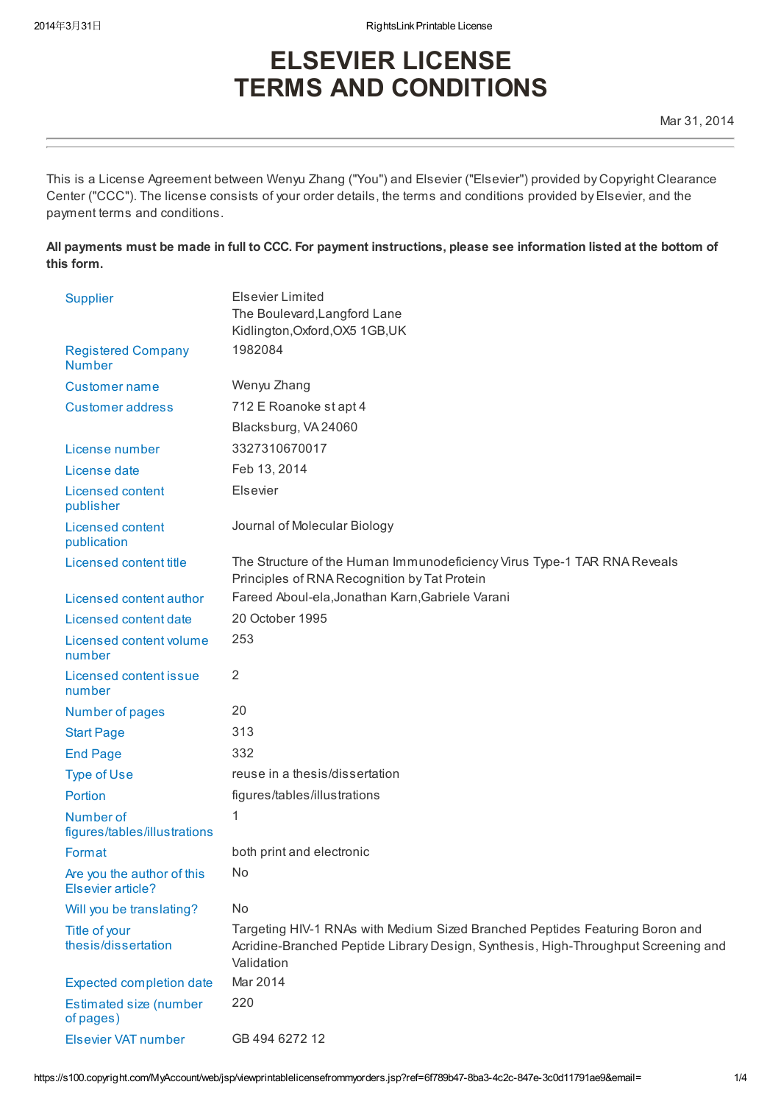# ELSEVIER LICENSE TERMS AND CONDITIONS

This is a License Agreement between Wenyu Zhang ("You") and Elsevier ("Elsevier") provided by Copyright Clearance Center ("CCC"). The license consists of your order details, the terms and conditions provided by Elsevier, and the payment terms and conditions.

All payments must be made in full to CCC. For payment instructions, please see information listed at the bottom of this form.

| <b>Supplier</b>                                        | <b>Elsevier Limited</b><br>The Boulevard, Langford Lane<br>Kidlington, Oxford, OX5 1GB, UK                                                                                       |
|--------------------------------------------------------|----------------------------------------------------------------------------------------------------------------------------------------------------------------------------------|
| <b>Registered Company</b><br><b>Number</b>             | 1982084                                                                                                                                                                          |
| <b>Customer name</b>                                   | Wenyu Zhang                                                                                                                                                                      |
| <b>Customer address</b>                                | 712 E Roanoke st apt 4                                                                                                                                                           |
|                                                        | Blacksburg, VA 24060                                                                                                                                                             |
| License number                                         | 3327310670017                                                                                                                                                                    |
| License date                                           | Feb 13, 2014                                                                                                                                                                     |
| Licensed content<br>publisher                          | Elsevier                                                                                                                                                                         |
| <b>Licensed content</b><br>publication                 | Journal of Molecular Biology                                                                                                                                                     |
| Licensed content title                                 | The Structure of the Human Immunodeficiency Virus Type-1 TAR RNA Reveals<br>Principles of RNA Recognition by Tat Protein                                                         |
| Licensed content author                                | Fareed Aboul-ela, Jonathan Karn, Gabriele Varani                                                                                                                                 |
| Licensed content date                                  | 20 October 1995                                                                                                                                                                  |
| Licensed content volume<br>number                      | 253                                                                                                                                                                              |
| Licensed content issue<br>number                       | 2                                                                                                                                                                                |
| Number of pages                                        | 20                                                                                                                                                                               |
| <b>Start Page</b>                                      | 313                                                                                                                                                                              |
| <b>End Page</b>                                        | 332                                                                                                                                                                              |
| <b>Type of Use</b>                                     | reuse in a thesis/dissertation                                                                                                                                                   |
| Portion                                                | figures/tables/illustrations                                                                                                                                                     |
| Number of<br>figures/tables/illustrations              | 1                                                                                                                                                                                |
| Format                                                 | both print and electronic                                                                                                                                                        |
| Are you the author of this<br><b>Elsevier article?</b> | No                                                                                                                                                                               |
| Will you be translating?                               | No                                                                                                                                                                               |
| Title of your<br>thesis/dissertation                   | Targeting HIV-1 RNAs with Medium Sized Branched Peptides Featuring Boron and<br>Acridine-Branched Peptide Library Design, Synthesis, High-Throughput Screening and<br>Validation |
| <b>Expected completion date</b>                        | Mar 2014                                                                                                                                                                         |
| Estimated size (number<br>of pages)                    | 220                                                                                                                                                                              |
| Elsevier VAT number                                    | GB 494 6272 12                                                                                                                                                                   |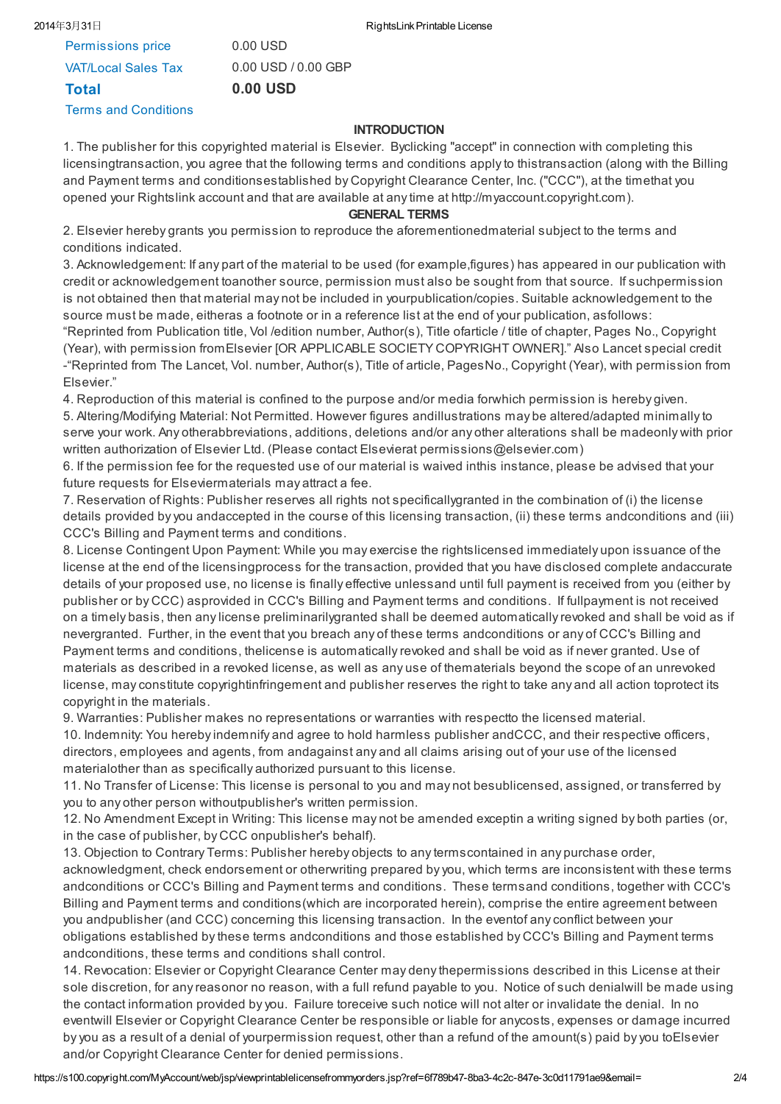# Permissions price 0.00 USD VAT/Local Sales Tax 0.00 USD / 0.00 GBP Total 0.00 USD

2014年3月31日 RightsLink Printable License

Terms and Conditions

## INTRODUCTION

1. The publisher for this copyrighted material is Elsevier. Byclicking "accept" in connection with completing this licensingtransaction, you agree that the following terms and conditions apply to thistransaction (along with the Billing and Payment terms and conditionsestablished by Copyright Clearance Center, Inc. ("CCC"), at the timethat you opened your Rightslink account and that are available at any time at http://myaccount.copyright.com).

## GENERAL TERMS

2. Elsevier hereby grants you permission to reproduce the aforementionedmaterial subject to the terms and conditions indicated.

3. Acknowledgement: If any part of the material to be used (for example,figures) has appeared in our publication with credit or acknowledgement toanother source, permission must also be sought from that source. If suchpermission is not obtained then that material may not be included in yourpublication/copies. Suitable acknowledgement to the source must be made, eitheras a footnote or in a reference list at the end of your publication, asfollows:

"Reprinted from Publication title, Vol /edition number, Author(s), Title ofarticle / title of chapter, Pages No., Copyright (Year), with permission fromElsevier [OR APPLICABLE SOCIETY COPYRIGHT OWNER]." Also Lancet special credit -"Reprinted from The Lancet, Vol. number, Author(s), Title of article, PagesNo., Copyright (Year), with permission from Elsevier."

4. Reproduction of this material is confined to the purpose and/or media forwhich permission is hereby given.

5. Altering/Modifying Material: Not Permitted. However figures andillustrations may be altered/adapted minimally to serve your work. Any otherabbreviations, additions, deletions and/or any other alterations shall be madeonly with prior written authorization of Elsevier Ltd. (Please contact Elsevierat permissions@elsevier.com)

6. If the permission fee for the requested use of our material is waived inthis instance, please be advised that your future requests for Elseviermaterials may attract a fee.

7. Reservation of Rights: Publisher reserves all rights not specificallygranted in the combination of (i) the license details provided by you andaccepted in the course of this licensing transaction, (ii) these terms andconditions and (iii) CCC's Billing and Payment terms and conditions.

8. License Contingent Upon Payment: While you may exercise the rightslicensed immediately upon issuance of the license at the end of the licensingprocess for the transaction, provided that you have disclosed complete andaccurate details of your proposed use, no license is finally effective unlessand until full payment is received from you (either by publisher or by CCC) asprovided in CCC's Billing and Payment terms and conditions. If fullpayment is not received on a timely basis, then any license preliminarilygranted shall be deemed automatically revoked and shall be void as if nevergranted. Further, in the event that you breach any of these terms andconditions or any of CCC's Billing and Payment terms and conditions, thelicense is automatically revoked and shall be void as if never granted. Use of materials as described in a revoked license, as well as any use of thematerials beyond the scope of an unrevoked license, may constitute copyrightinfringement and publisher reserves the right to take any and all action toprotect its copyright in the materials.

9. Warranties: Publisher makes no representations or warranties with respectto the licensed material.

10. Indemnity: You hereby indemnify and agree to hold harmless publisher andCCC, and their respective officers, directors, employees and agents, from andagainst any and all claims arising out of your use of the licensed materialother than as specifically authorized pursuant to this license.

11. No Transfer of License: This license is personal to you and may not besublicensed, assigned, or transferred by you to any other person withoutpublisher's written permission.

12. No Amendment Except in Writing: This license may not be amended exceptin a writing signed by both parties (or, in the case of publisher, by CCC onpublisher's behalf).

13. Objection to Contrary Terms: Publisher hereby objects to any termscontained in any purchase order, acknowledgment, check endorsement or otherwriting prepared by you, which terms are inconsistent with these terms andconditions or CCC's Billing and Payment terms and conditions. These termsand conditions, together with CCC's Billing and Payment terms and conditions(which are incorporated herein), comprise the entire agreement between you andpublisher (and CCC) concerning this licensing transaction. In the eventof any conflict between your obligations established by these terms andconditions and those established by CCC's Billing and Payment terms andconditions, these terms and conditions shall control.

14. Revocation: Elsevier or Copyright Clearance Center may deny thepermissions described in this License at their sole discretion, for any reasonor no reason, with a full refund payable to you. Notice of such denialwill be made using the contact information provided by you. Failure toreceive such notice will not alter or invalidate the denial. In no eventwill Elsevier or Copyright Clearance Center be responsible or liable for anycosts, expenses or damage incurred by you as a result of a denial of yourpermission request, other than a refund of the amount(s) paid by you toElsevier and/or Copyright Clearance Center for denied permissions.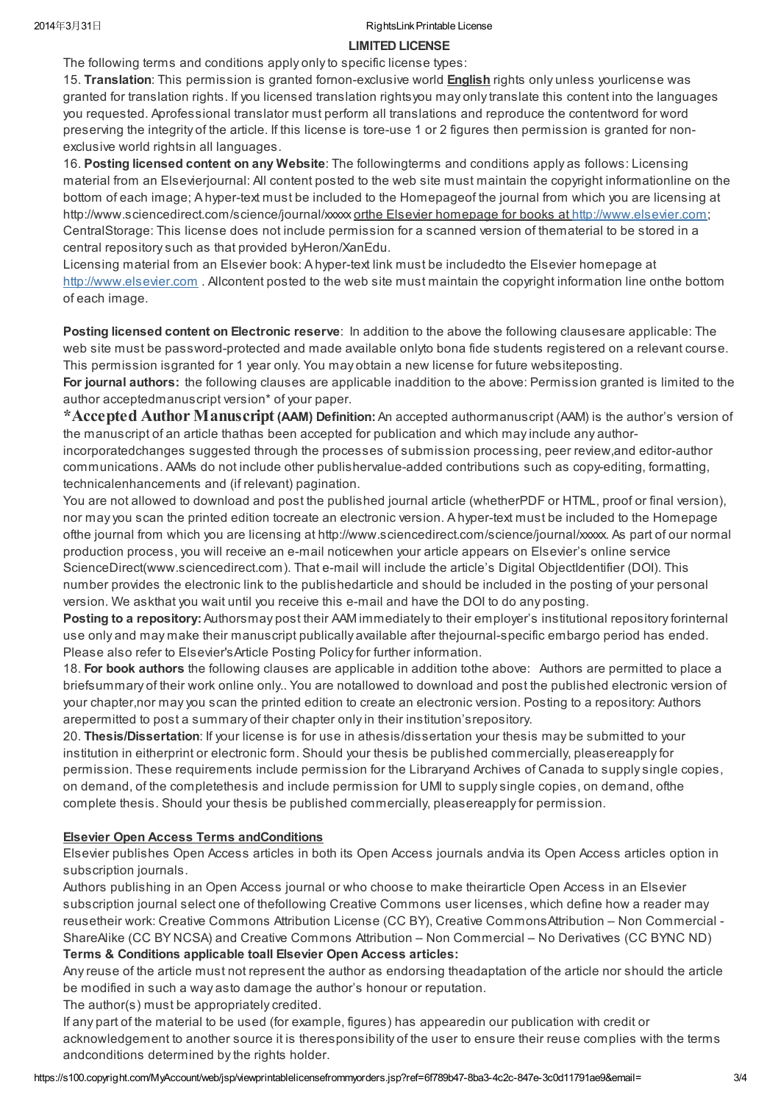#### 2014年3月31日 RightsLink Printable License

# LIMITED LICENSE

The following terms and conditions apply only to specific license types:

15. Translation: This permission is granted fornon-exclusive world **English** rights only unless yourlicense was granted for translation rights. If you licensed translation rightsyou may only translate this content into the languages you requested. Aprofessional translator must perform all translations and reproduce the contentword for word preserving the integrity of the article. If this license is tore-use 1 or 2 figures then permission is granted for nonexclusive world rightsin all languages.

16. Posting licensed content on any Website: The followingterms and conditions apply as follows: Licensing material from an Elsevierjournal: All content posted to the web site must maintain the copyright informationline on the bottom of each image; A hyper-text must be included to the Homepageof the journal from which you are licensing at http://www.sciencedirect.com/science/journal/xxxx orthe Elsevier homepage for books at [http://www.elsevier.com;](http://www.elsevier.com/) CentralStorage: This license does not include permission for a scanned version of thematerial to be stored in a central repository such as that provided byHeron/XanEdu.

Licensing material from an Elsevier book: A hyper-text link must be includedto the Elsevier homepage at [http://www.elsevier.com](http://www.elsevier.com/) . Allcontent posted to the web site must maintain the copyright information line onthe bottom of each image.

Posting licensed content on Electronic reserve: In addition to the above the following clausesare applicable: The web site must be password-protected and made available onlyto bona fide students registered on a relevant course. This permission isgranted for 1 year only. You may obtain a new license for future websiteposting.

For journal authors: the following clauses are applicable inaddition to the above: Permission granted is limited to the author acceptedmanuscript version\* of your paper.

\*Accepted Author Manuscript (AAM) Definition: An accepted authormanuscript (AAM) is the author's version of the manuscript of an article thathas been accepted for publication and which may include any authorincorporatedchanges suggested through the processes of submission processing, peer review,and editor-author communications. AAMs do not include other publishervalue-added contributions such as copy-editing, formatting, technicalenhancements and (if relevant) pagination.

You are not allowed to download and post the published journal article (whetherPDF or HTML, proof or final version), nor may you scan the printed edition tocreate an electronic version. A hyper-text must be included to the Homepage ofthe journal from which you are licensing at http://www.sciencedirect.com/science/journal/xxxxx. As part of our normal production process, you will receive an e-mail noticewhen your article appears on Elsevier's online service ScienceDirect(www.sciencedirect.com). That e-mail will include the article's Digital ObjectIdentifier (DOI). This number provides the electronic link to the publishedarticle and should be included in the posting of your personal version. We askthat you wait until you receive this e-mail and have the DOI to do any posting.

Posting to a repository: Authorsmay post their AAM immediately to their employer's institutional repository forinternal use only and may make their manuscript publically available after thejournal-specific embargo period has ended. Please also refer to Elsevier'sArticle Posting Policy for further information.

18. For book authors the following clauses are applicable in addition tothe above: Authors are permitted to place a briefsummary of their work online only.. You are notallowed to download and post the published electronic version of your chapter,nor may you scan the printed edition to create an electronic version. Posting to a repository: Authors arepermitted to post a summary of their chapter only in their institution'srepository.

20. Thesis/Dissertation: If your license is for use in athesis/dissertation your thesis may be submitted to your institution in eitherprint or electronic form. Should your thesis be published commercially, pleasereapply for permission. These requirements include permission for the Libraryand Archives of Canada to supply single copies, on demand, of the completethesis and include permission for UMI to supply single copies, on demand, ofthe complete thesis. Should your thesis be published commercially, pleasereapply for permission.

# Elsevier Open Access Terms andConditions

Elsevier publishes Open Access articles in both its Open Access journals andvia its Open Access articles option in subscription journals.

Authors publishing in an Open Access journal or who choose to make theirarticle Open Access in an Elsevier subscription journal select one of thefollowing Creative Commons user licenses, which define how a reader may reusetheir work: Creative Commons Attribution License (CC BY), Creative CommonsAttribution – Non Commercial - ShareAlike (CC BY NCSA) and Creative Commons Attribution – Non Commercial – No Derivatives (CC BYNC ND) Terms & Conditions applicable toall Elsevier Open Access articles:

Any reuse of the article must not represent the author as endorsing theadaptation of the article nor should the article

be modified in such a way asto damage the author's honour or reputation.

The author(s) must be appropriately credited.

If any part of the material to be used (for example, figures) has appearedin our publication with credit or acknowledgement to another source it is theresponsibility of the user to ensure their reuse complies with the terms andconditions determined by the rights holder.